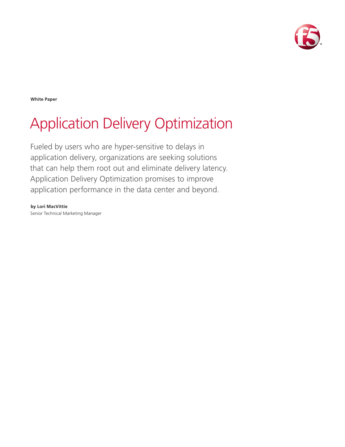

**White Paper**

# Application Delivery Optimization

Fueled by users who are hyper-sensitive to delays in application delivery, organizations are seeking solutions that can help them root out and eliminate delivery latency. Application Delivery Optimization promises to improve application performance in the data center and beyond.

**by Lori MacVittie** Senior Technical Marketing Manager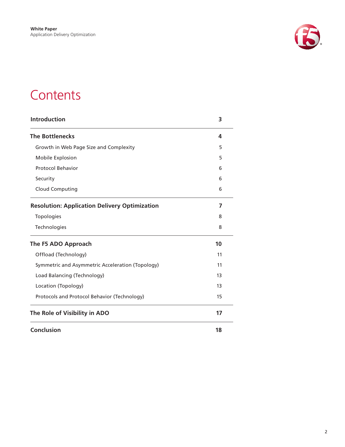

## **Contents**

| <b>Introduction</b>                                  | 3  |
|------------------------------------------------------|----|
| <b>The Bottlenecks</b>                               | 4  |
| Growth in Web Page Size and Complexity               | 5  |
| Mobile Explosion                                     | 5  |
| <b>Protocol Behavior</b>                             | 6  |
| Security                                             | 6  |
| <b>Cloud Computing</b>                               | 6  |
| <b>Resolution: Application Delivery Optimization</b> | 7  |
| Topologies                                           | 8  |
| Technologies                                         | 8  |
| The F5 ADO Approach                                  | 10 |
| Offload (Technology)                                 | 11 |
| Symmetric and Asymmetric Acceleration (Topology)     | 11 |
| Load Balancing (Technology)                          | 13 |
| Location (Topology)                                  | 13 |
| Protocols and Protocol Behavior (Technology)         | 15 |
| The Role of Visibility in ADO                        | 17 |
| <b>Conclusion</b>                                    | 18 |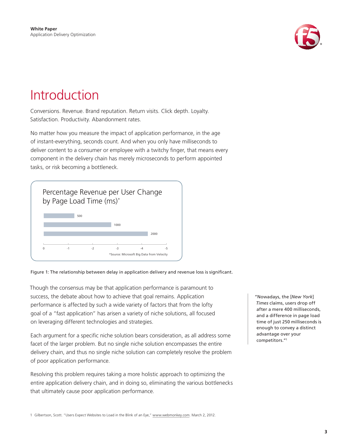

## <span id="page-2-0"></span>Introduction

Conversions. Revenue. Brand reputation. Return visits. Click depth. Loyalty. Satisfaction. Productivity. Abandonment rates.

No matter how you measure the impact of application performance, in the age of instant-everything, seconds count. And when you only have milliseconds to deliver content to a consumer or employee with a twitchy finger, that means every component in the delivery chain has merely microseconds to perform appointed tasks, or risk becoming a bottleneck.



Figure 1: The relationship between delay in application delivery and revenue loss is significant.

Though the consensus may be that application performance is paramount to success, the debate about how to achieve that goal remains. Application performance is affected by such a wide variety of factors that from the lofty goal of a "fast application" has arisen a variety of niche solutions, all focused on leveraging different technologies and strategies.

Each argument for a specific niche solution bears consideration, as all address some facet of the larger problem. But no single niche solution encompasses the entire delivery chain, and thus no single niche solution can completely resolve the problem of poor application performance.

Resolving this problem requires taking a more holistic approach to optimizing the entire application delivery chain, and in doing so, eliminating the various bottlenecks that ultimately cause poor application performance.

"Nowadays, the [*New York*] *Times* claims, users drop off after a mere 400 milliseconds, and a difference in page load time of just 250 milliseconds is enough to convey a distinct advantage over your competitors."1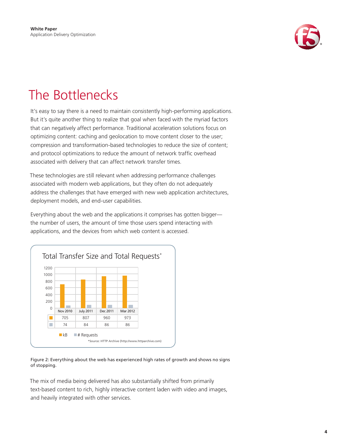

## <span id="page-3-0"></span>The Bottlenecks

It's easy to say there is a need to maintain consistently high-performing applications. But it's quite another thing to realize that goal when faced with the myriad factors that can negatively affect performance. Traditional acceleration solutions focus on optimizing content: caching and geolocation to move content closer to the user; compression and transformation-based technologies to reduce the size of content; and protocol optimizations to reduce the amount of network traffic overhead associated with delivery that can affect network transfer times.

These technologies are still relevant when addressing performance challenges associated with modern web applications, but they often do not adequately address the challenges that have emerged with new web application architectures, deployment models, and end-user capabilities.

Everything about the web and the applications it comprises has gotten bigger the number of users, the amount of time those users spend interacting with applications, and the devices from which web content is accessed.



Figure 2: Everything about the web has experienced high rates of growth and shows no signs of stopping.

The mix of media being delivered has also substantially shifted from primarily text-based content to rich, highly interactive content laden with video and images, and heavily integrated with other services.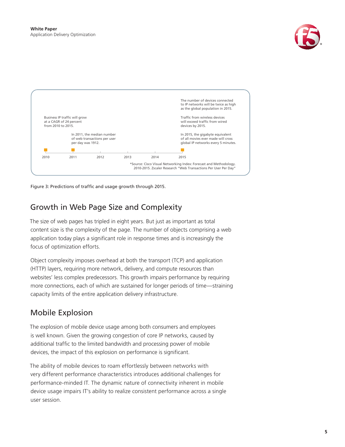

<span id="page-4-0"></span>

Figure 3: Predictions of traffic and usage growth through 2015.

### Growth in Web Page Size and Complexity

The size of web pages has tripled in eight years. But just as important as total content size is the complexity of the page. The number of objects comprising a web application today plays a significant role in response times and is increasingly the focus of optimization efforts.

Object complexity imposes overhead at both the transport (TCP) and application (HTTP) layers, requiring more network, delivery, and compute resources than websites' less complex predecessors. This growth impairs performance by requiring more connections, each of which are sustained for longer periods of time—straining capacity limits of the entire application delivery infrastructure.

## Mobile Explosion

The explosion of mobile device usage among both consumers and employees is well known. Given the growing congestion of core IP networks, caused by additional traffic to the limited bandwidth and processing power of mobile devices, the impact of this explosion on performance is significant.

The ability of mobile devices to roam effortlessly between networks with very different performance characteristics introduces additional challenges for performance-minded IT. The dynamic nature of connectivity inherent in mobile device usage impairs IT's ability to realize consistent performance across a single user session.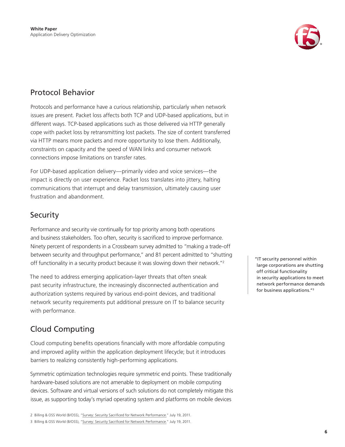

### <span id="page-5-0"></span>Protocol Behavior

Protocols and performance have a curious relationship, particularly when network issues are present. Packet loss affects both TCP and UDP-based applications, but in different ways. TCP-based applications such as those delivered via HTTP generally cope with packet loss by retransmitting lost packets. The size of content transferred via HTTP means more packets and more opportunity to lose them. Additionally, constraints on capacity and the speed of WAN links and consumer network connections impose limitations on transfer rates.

For UDP-based application delivery—primarily video and voice services—the impact is directly on user experience. Packet loss translates into jittery, halting communications that interrupt and delay transmission, ultimately causing user frustration and abandonment.

### **Security**

Performance and security vie continually for top priority among both operations and business stakeholders. Too often, security is sacrificed to improve performance. Ninety percent of respondents in a Crossbeam survey admitted to "making a trade-off between security and throughput performance," and 81 percent admitted to "shutting off functionality in a security product because it was slowing down their network."2

The need to address emerging application-layer threats that often sneak past security infrastructure, the increasingly disconnected authentication and authorization systems required by various end-point devices, and traditional network security requirements put additional pressure on IT to balance security with performance.

## Cloud Computing

Cloud computing benefits operations financially with more affordable computing and improved agility within the application deployment lifecycle; but it introduces barriers to realizing consistently high-performing applications.

Symmetric optimization technologies require symmetric end points. These traditionally hardware-based solutions are not amenable to deployment on mobile computing devices. Software and virtual versions of such solutions do not completely mitigate this issue, as supporting today's myriad operating system and platforms on mobile devices

"IT security personnel within large corporations are shutting off critical functionality in security applications to meet network performance demands for business applications."3

<sup>2</sup> Billing & OSS World (B/OSS), "<u>Survey: Security Sacrificed for Network Performance.</u>" July 19, 2011.<br>3 Billing & OSS World (B/OSS), "<u>Survey: Security Sacrificed for Network Performance.</u>" July 19, 2011.<br>**6** 3 Billing & OSS World (B/OSS), ["Survey: Security Sacrificed for Network Performance."](http://www.billingworld.com/news/2011/07/survey-security-sacrificed-for-network-performanc.aspx) July 19, 2011.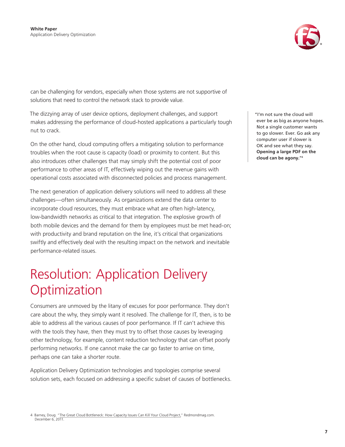

<span id="page-6-0"></span>can be challenging for vendors, especially when those systems are not supportive of solutions that need to control the network stack to provide value.

The dizzying array of user device options, deployment challenges, and support makes addressing the performance of cloud-hosted applications a particularly tough nut to crack.

On the other hand, cloud computing offers a mitigating solution to performance troubles when the root cause is capacity (load) or proximity to content. But this also introduces other challenges that may simply shift the potential cost of poor performance to other areas of IT, effectively wiping out the revenue gains with operational costs associated with disconnected policies and process management.

The next generation of application delivery solutions will need to address all these challenges—often simultaneously. As organizations extend the data center to incorporate cloud resources, they must embrace what are often high-latency, low-bandwidth networks as critical to that integration. The explosive growth of both mobile devices and the demand for them by employees must be met head-on; with productivity and brand reputation on the line, it's critical that organizations swiftly and effectively deal with the resulting impact on the network and inevitable performance-related issues.

## Resolution: Application Delivery **Optimization**

Consumers are unmoved by the litany of excuses for poor performance. They don't care about the why, they simply want it resolved. The challenge for IT, then, is to be able to address all the various causes of poor performance. If IT can't achieve this with the tools they have, then they must try to offset those causes by leveraging other technology, for example, content reduction technology that can offset poorly performing networks. If one cannot make the car go faster to arrive on time, perhaps one can take a shorter route.

Application Delivery Optimization technologies and topologies comprise several solution sets, each focused on addressing a specific subset of causes of bottlenecks.

4 Barney, Doug. "[The Great Cloud Bottleneck: How Capacity Issues Can Kill Your Cloud Project,](http://redmondmag.com/articles/2011/12/01/cloud-bottleneck-issues.aspx)" Redmondmag.com. December 6, 2011.

"I'm not sure the cloud will<br>ever be as big as anyone hopes.<br>Not a single customer wants<br>to go slower. Ever. Go ask any<br>Computer user if slower is<br>O pening a large PDF on the<br>**Opening a large PDF** on the<br>cloud can be agony ever be as big as anyone hopes. Not a single customer wants to go slower. Ever. Go ask any computer user if slower is OK and see what they say. **Opening a large PDF on the cloud can be agony.**"4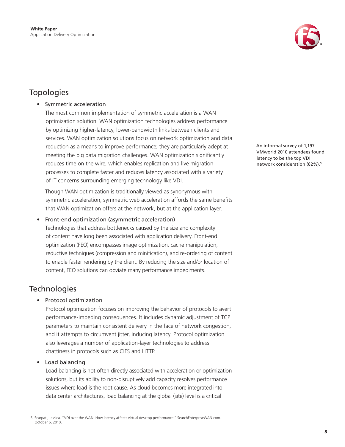

## <span id="page-7-0"></span>Topologies

### • Symmetric acceleration

The most common implementation of symmetric acceleration is a WAN optimization solution. WAN optimization technologies address performance by optimizing higher-latency, lower-bandwidth links between clients and services. WAN optimization solutions focus on network optimization and data reduction as a means to improve performance; they are particularly adept at meeting the big data migration challenges. WAN optimization significantly reduces time on the wire, which enables replication and live migration processes to complete faster and reduces latency associated with a variety of IT concerns surrounding emerging technology like VDI.

Though WAN optimization is traditionally viewed as synonymous with symmetric acceleration, symmetric web acceleration affords the same benefits that WAN optimization offers at the network, but at the application layer.

Front-end optimization (asymmetric acceleration)

Technologies that address bottlenecks caused by the size and complexity of content have long been associated with application delivery. Front-end optimization (FEO) encompasses image optimization, cache manipulation, reductive techniques (compression and minification), and re-ordering of content to enable faster rendering by the client. By reducing the size and/or location of content, FEO solutions can obviate many performance impediments.

### **Technologies**

#### • Protocol optimization

Protocol optimization focuses on improving the behavior of protocols to avert performance-impeding consequences. It includes dynamic adjustment of TCP parameters to maintain consistent delivery in the face of network congestion, and it attempts to circumvent jitter, inducing latency. Protocol optimization also leverages a number of application-layer technologies to address chattiness in protocols such as CIFS and HTTP.

#### Load balancing

Load balancing is not often directly associated with acceleration or optimization solutions, but its ability to non-disruptively add capacity resolves performance issues where load is the root cause. As cloud becomes more integrated into data center architectures, load balancing at the global (site) level is a critical

An informal survey of 1,197<br>VMworld 2010 attendees found<br>latency to be the top VDI<br>network consideration (62%).<sup>5</sup><br>8 VMworld 2010 attendees found latency to be the top VDI network consideration (62%).5

<sup>5</sup> Scarpati, Jessica. "[VDI over the WAN: How latency affects virtual desktop performance.](http://searchenterprisewan.techtarget.com/news/2240022913/VDI-over-the-WAN-How-latency-affects-on-virtual-desktop-performance)" SearchEnterpriseWAN.com. October 6, 2010.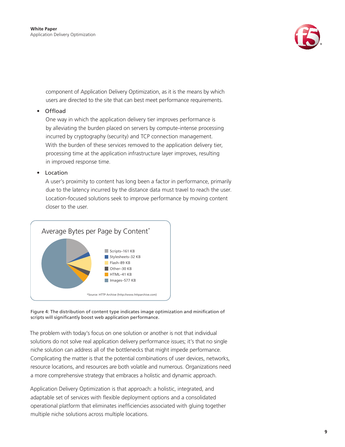

component of Application Delivery Optimization, as it is the means by which users are directed to the site that can best meet performance requirements.

#### • Offload

One way in which the application delivery tier improves performance is by alleviating the burden placed on servers by compute-intense processing incurred by cryptography (security) and TCP connection management. With the burden of these services removed to the application delivery tier, processing time at the application infrastructure layer improves, resulting in improved response time.

#### • Location

A user's proximity to content has long been a factor in performance, primarily due to the latency incurred by the distance data must travel to reach the user. Location-focused solutions seek to improve performance by moving content closer to the user.





The problem with today's focus on one solution or another is not that individual solutions do not solve real application delivery performance issues; it's that no single niche solution can address all of the bottlenecks that might impede performance. Complicating the matter is that the potential combinations of user devices, networks, resource locations, and resources are both volatile and numerous. Organizations need a more comprehensive strategy that embraces a holistic and dynamic approach.

Application Delivery Optimization is that approach: a holistic, integrated, and adaptable set of services with flexible deployment options and a consolidated operational platform that eliminates inefficiencies associated with gluing together multiple niche solutions across multiple locations.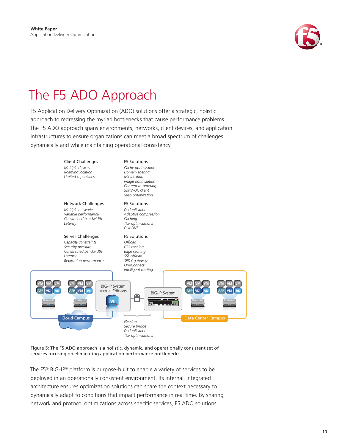

## <span id="page-9-0"></span>The F5 ADO Approach

F5 Application Delivery Optimization (ADO) solutions offer a strategic, holistic approach to redressing the myriad bottlenecks that cause performance problems. The F5 ADO approach spans environments, networks, client devices, and application infrastructures to ensure organizations can meet a broad spectrum of challenges dynamically and while maintaining operational consistency.



Figure 5: The F5 ADO approach is a holistic, dynamic, and operationally consistent set of services focusing on eliminating application performance bottlenecks.

The F5<sup>®</sup> BIG-IP<sup>®</sup> platform is purpose-built to enable a variety of services to be deployed in an operationally consistent environment. Its internal, integrated architecture ensures optimization solutions can share the context necessary to dynamically adapt to conditions that impact performance in real time. By sharing network and protocol optimizations across specific services, F5 ADO solutions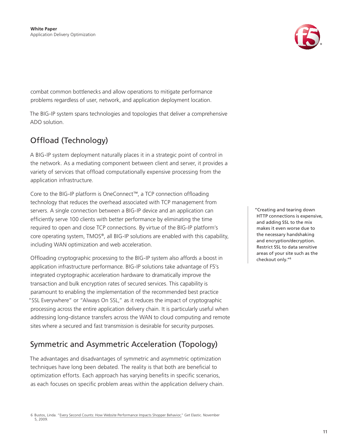

<span id="page-10-0"></span>combat common bottlenecks and allow operations to mitigate performance problems regardless of user, network, and application deployment location.

The BIG-IP system spans technologies and topologies that deliver a comprehensive ADO solution.

## Offload (Technology)

A BIG-IP system deployment naturally places it in a strategic point of control in the network. As a mediating component between client and server, it provides a variety of services that offload computationally expensive processing from the application infrastructure.

Core to the BIG-IP platform is OneConnect™, a TCP connection offloading technology that reduces the overhead associated with TCP management from servers. A single connection between a BIG-IP device and an application can efficiently serve 100 clients with better performance by eliminating the time required to open and close TCP connections. By virtue of the BIG-IP platform's core operating system, TMOS®, all BIG-IP solutions are enabled with this capability, including WAN optimization and web acceleration.

Offloading cryptographic processing to the BIG-IP system also affords a boost in application infrastructure performance. BIG-IP solutions take advantage of F5's integrated cryptographic acceleration hardware to dramatically improve the transaction and bulk encryption rates of secured services. This capability is paramount to enabling the implementation of the recommended best practice "SSL Everywhere" or "Always On SSL," as it reduces the impact of cryptographic processing across the entire application delivery chain. It is particularly useful when addressing long-distance transfers across the WAN to cloud computing and remote sites where a secured and fast transmission is desirable for security purposes.

## Symmetric and Asymmetric Acceleration (Topology)

The advantages and disadvantages of symmetric and asymmetric optimization techniques have long been debated. The reality is that both are beneficial to optimization efforts. Each approach has varying benefits in specific scenarios, as each focuses on specific problem areas within the application delivery chain. "Creating and tearing down HTTP connections is expensive, and adding SSL to the mix makes it even worse due to the necessary handshaking and encryption/decryption. Restrict SSL to data sensitive areas of your site such as the checkout only."6

<sup>6</sup> Bustos, Linda. "[Every Second Counts: How Website Performance Impacts Shopper Behavior,"](http://www.getelastic.com/performance/) Get Elastic. November 5, 2009.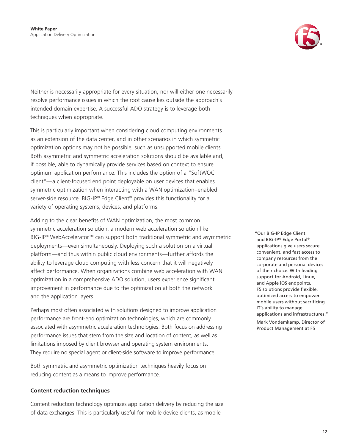

Neither is necessarily appropriate for every situation, nor will either one necessarily resolve performance issues in which the root cause lies outside the approach's intended domain expertise. A successful ADO strategy is to leverage both techniques when appropriate.

This is particularly important when considering cloud computing environments as an extension of the data center, and in other scenarios in which symmetric optimization options may not be possible, such as unsupported mobile clients. Both asymmetric and symmetric acceleration solutions should be available and, if possible, able to dynamically provide services based on context to ensure optimum application performance. This includes the option of a "SoftWOC client"—a client-focused end point deployable on user devices that enables symmetric optimization when interacting with a WAN optimization–enabled server-side resource. BIG-IP® Edge Client® provides this functionality for a variety of operating systems, devices, and platforms.

Adding to the clear benefits of WAN optimization, the most common symmetric acceleration solution, a modern web acceleration solution like BIG-IP® WebAccelerator™ can support both traditional symmetric and asymmetric deployments—even simultaneously. Deploying such a solution on a virtual platform—and thus within public cloud environments—further affords the ability to leverage cloud computing with less concern that it will negatively affect performance. When organizations combine web acceleration with WAN optimization in a comprehensive ADO solution, users experience significant improvement in performance due to the optimization at both the network and the application layers.

Perhaps most often associated with solutions designed to improve application performance are front-end optimization technologies, which are commonly associated with asymmetric acceleration technologies. Both focus on addressing performance issues that stem from the size and location of content, as well as limitations imposed by client browser and operating system environments. They require no special agent or client-side software to improve performance.

Both symmetric and asymmetric optimization techniques heavily focus on reducing content as a means to improve performance.

#### **Content reduction techniques**

Content reduction technology optimizes application delivery by reducing the size of data exchanges. This is particularly useful for mobile device clients, as mobile

"Our BIG-IP Edge Client and BIG-IP® Edge Portal® applications give users secure, convenient, and fast access to company resources from the corporate and personal devices of their choice. With leading support for Android, Linux, and Apple iOS endpoints, F5 solutions provide flexible, optimized access to empower mobile users without sacrificing IT's ability to manage applications and infrastructures." Mark Vondemkamp, Director of Product Management at F5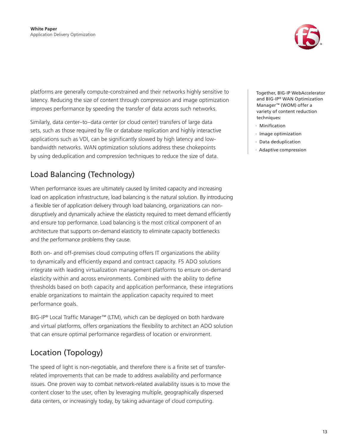

<span id="page-12-0"></span>platforms are generally compute-constrained and their networks highly sensitive to latency. Reducing the size of content through compression and image optimization improves performance by speeding the transfer of data across such networks.

Similarly, data center–to–data center (or cloud center) transfers of large data sets, such as those required by file or database replication and highly interactive applications such as VDI, can be significantly slowed by high latency and lowbandwidth networks. WAN optimization solutions address these chokepoints by using deduplication and compression techniques to reduce the size of data.

## Load Balancing (Technology)

When performance issues are ultimately caused by limited capacity and increasing load on application infrastructure, load balancing is the natural solution. By introducing a flexible tier of application delivery through load balancing, organizations can nondisruptively and dynamically achieve the elasticity required to meet demand efficiently and ensure top performance. Load balancing is the most critical component of an architecture that supports on-demand elasticity to eliminate capacity bottlenecks and the performance problems they cause.

Both on- and off-premises cloud computing offers IT organizations the ability to dynamically and efficiently expand and contract capacity. F5 ADO solutions integrate with leading virtualization management platforms to ensure on-demand elasticity within and across environments. Combined with the ability to define thresholds based on both capacity and application performance, these integrations enable organizations to maintain the application capacity required to meet performance goals.

BIG-IP® Local Traffic Manager™ (LTM), which can be deployed on both hardware and virtual platforms, offers organizations the flexibility to architect an ADO solution that can ensure optimal performance regardless of location or environment.

## Location (Topology)

The speed of light is non-negotiable, and therefore there is a finite set of transferrelated improvements that can be made to address availability and performance issues. One proven way to combat network-related availability issues is to move the content closer to the user, often by leveraging multiple, geographically dispersed data centers, or increasingly today, by taking advantage of cloud computing.

Together, BIG-IP WebAccelerator and BIG-IP® WAN Optimization Manager™ (WOM) offer a variety of content reduction techniques:

- · Minification
- · Image optimization
- · Data deduplication
- · Adaptive compression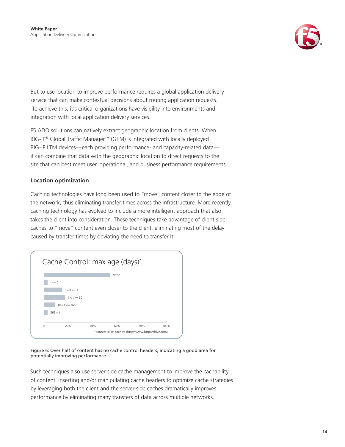

But to use location to improve performance requires a global application delivery service that can make contextual decisions about routing application requests. To achieve this, it's critical organizations have visibility into environments and integration with local application delivery services.

F5 ADO solutions can natively extract geographic location from clients. When BIG-IP® Global Traffic Manager™ (GTM) is integrated with locally deployed BIG-IP LTM devices—each providing performance- and capacity-related data it can combine that data with the geographic location to direct requests to the site that can best meet user, operational, and business performance requirements.

### **Location optimization**

Caching technologies have long been used to "move" content closer to the edge of the network, thus eliminating transfer times across the infrastructure. More recently, caching technology has evolved to include a more intelligent approach that also takes the client into consideration. These techniques take advantage of client-side caches to "move" content even closer to the client, eliminating most of the delay caused by transfer times by obviating the need to transfer it.



Figure 6: Over half of content has no cache control headers, indicating a good area for potentially improving performance.

Such techniques also use server-side cache management to improve the cachability of content. Inserting and/or manipulating cache headers to optimize cache strategies by leveraging both the client and the server-side caches dramatically improves performance by eliminating many transfers of data across multiple networks.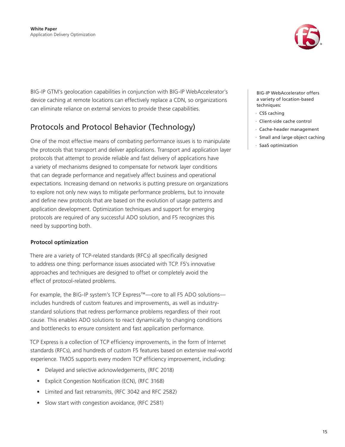

<span id="page-14-0"></span>BIG-IP GTM's geolocation capabilities in conjunction with BIG-IP WebAccelerator's device caching at remote locations can effectively replace a CDN, so organizations can eliminate reliance on external services to provide these capabilities.

## Protocols and Protocol Behavior (Technology)

One of the most effective means of combating performance issues is to manipulate the protocols that transport and deliver applications. Transport and application layer protocols that attempt to provide reliable and fast delivery of applications have a variety of mechanisms designed to compensate for network layer conditions that can degrade performance and negatively affect business and operational expectations. Increasing demand on networks is putting pressure on organizations to explore not only new ways to mitigate performance problems, but to innovate and define new protocols that are based on the evolution of usage patterns and application development. Optimization techniques and support for emerging protocols are required of any successful ADO solution, and F5 recognizes this need by supporting both.

### **Protocol optimization**

There are a variety of TCP-related standards (RFCs) all specifically designed to address one thing: performance issues associated with TCP. F5's innovative approaches and techniques are designed to offset or completely avoid the effect of protocol-related problems.

For example, the BIG-IP system's TCP Express™—core to all F5 ADO solutions includes hundreds of custom features and improvements, as well as industrystandard solutions that redress performance problems regardless of their root cause. This enables ADO solutions to react dynamically to changing conditions and bottlenecks to ensure consistent and fast application performance.

TCP Express is a collection of TCP efficiency improvements, in the form of Internet standards (RFCs), and hundreds of custom F5 features based on extensive real-world experience. TMOS supports every modern TCP efficiency improvement, including:

- Delayed and selective acknowledgements, (RFC 2018)
- Explicit Congestion Notification (ECN), (RFC 3168)
- • Limited and fast retransmits, (RFC 3042 and RFC 2582)
- Slow start with congestion avoidance, (RFC 2581)

BIG-IP WebAccelerator offers a variety of location-based techniques:

- · CSS caching
- · Client-side cache control
- Cache-header management
- · Small and large object caching
- SaaS optimization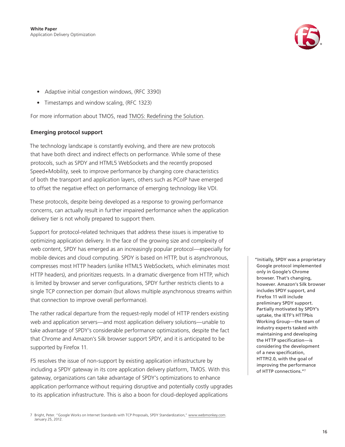

- Adaptive initial congestion windows, (RFC 3390)
- Timestamps and window scaling, (RFC 1323)

For more information about TMOS, read [TMOS: Redefining the Solution](http://www.f5.com/pdf/white-papers/tmos-wp.pdf).

#### **Emerging protocol support**

The technology landscape is constantly evolving, and there are new protocols that have both direct and indirect effects on performance. While some of these protocols, such as SPDY and HTML5 WebSockets and the recently proposed Speed+Mobility, seek to improve performance by changing core characteristics of both the transport and application layers, others such as PCoIP have emerged to offset the negative effect on performance of emerging technology like VDI.

These protocols, despite being developed as a response to growing performance concerns, can actually result in further impaired performance when the application delivery tier is not wholly prepared to support them.

Support for protocol-related techniques that address these issues is imperative to optimizing application delivery. In the face of the growing size and complexity of web content, SPDY has emerged as an increasingly popular protocol—especially for mobile devices and cloud computing. SPDY is based on HTTP, but is asynchronous, compresses most HTTP headers (unlike HTML5 WebSockets, which eliminates most HTTP headers), and prioritizes requests. In a dramatic divergence from HTTP, which is limited by browser and server configurations, SPDY further restricts clients to a single TCP connection per domain (but allows multiple asynchronous streams within that connection to improve overall performance).

The rather radical departure from the request-reply model of HTTP renders existing web and application servers—and most application delivery solutions—unable to take advantage of SPDY's considerable performance optimizations, despite the fact that Chrome and Amazon's Silk browser support SPDY, and it is anticipated to be supported by Firefox 11.

F5 resolves the issue of non-support by existing application infrastructure by including a SPDY gateway in its core application delivery platform, TMOS. With this gateway, organizations can take advantage of SPDY's optimizations to enhance application performance without requiring disruptive and potentially costly upgrades to its application infrastructure. This is also a boon for cloud-deployed applications

"Initially, SPDY was a proprietary Google protocol implemented only in Google's Chrome browser. That's changing, however. Amazon's Silk browser includes SPDY support, and Firefox 11 will include preliminary SPDY support. Partially motivated by SPDY's uptake, the IETF's HTTPbis Working Group—the team of industry experts tasked with maintaining and developing the HTTP specification—is [considering](http://lists.w3.org/Archives/Public/ietf-http-wg/2012JanMar/0098.html) the development of a new specification, HTTP/2.0, with the goal of improving the performance of HTTP connections."7

<sup>7</sup> Bright, Peter. "Google Works on Internet Standards with TCP Proposals, SPDY Standardization,"<www.webmonkey.com>. January 25, 2012.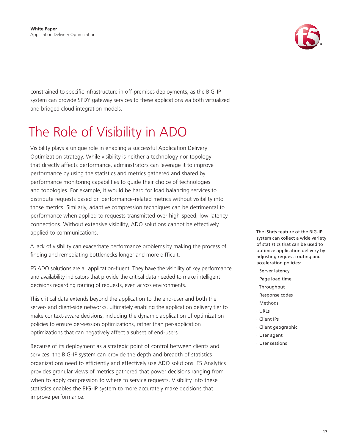

<span id="page-16-0"></span>constrained to specific infrastructure in off-premises deployments, as the BIG-IP system can provide SPDY gateway services to these applications via both virtualized and bridged cloud integration models.

## The Role of Visibility in ADO

Visibility plays a unique role in enabling a successful Application Delivery Optimization strategy. While visibility is neither a technology nor topology that directly affects performance, administrators can leverage it to improve performance by using the statistics and metrics gathered and shared by performance monitoring capabilities to guide their choice of technologies and topologies. For example, it would be hard for load balancing services to distribute requests based on performance-related metrics without visibility into those metrics. Similarly, adaptive compression techniques can be detrimental to performance when applied to requests transmitted over high-speed, low-latency connections. Without extensive visibility, ADO solutions cannot be effectively applied to communications.

A lack of visibility can exacerbate performance problems by making the process of finding and remediating bottlenecks longer and more difficult.

F5 ADO solutions are all application-fluent. They have the visibility of key performance and availability indicators that provide the critical data needed to make intelligent decisions regarding routing of requests, even across environments.

This critical data extends beyond the application to the end-user and both the server- and client-side networks, ultimately enabling the application delivery tier to make context-aware decisions, including the dynamic application of optimization policies to ensure per-session optimizations, rather than per-application optimizations that can negatively affect a subset of end-users.

Because of its deployment as a strategic point of control between clients and services, the BIG-IP system can provide the depth and breadth of statistics organizations need to efficiently and effectively use ADO solutions. F5 Analytics provides granular views of metrics gathered that power decisions ranging from when to apply compression to where to service requests. Visibility into these statistics enables the BIG-IP system to more accurately make decisions that improve performance.

The iStats feature of the BIG-IP system can collect a wide variety of statistics that can be used to optimize application delivery by adjusting request routing and acceleration policies:

- Server latency
- Page load time
- · Throughput
- Response codes
- · Methods
- · URLs
- · Client IPs
- · Client geographic
- · User agent
- · User sessions